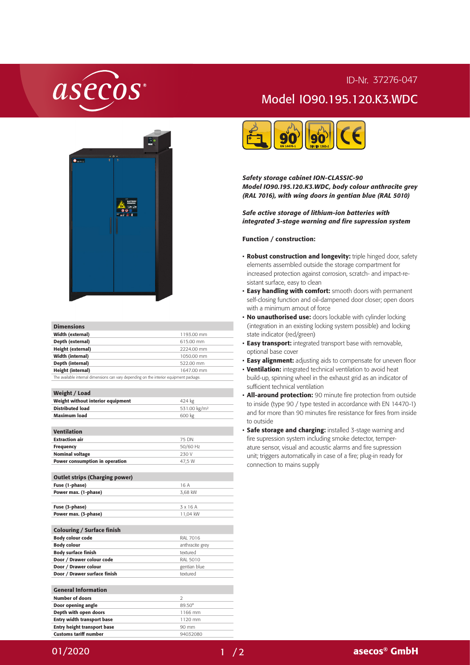## asecos

## ID-Nr. 37276-047 Model IO90.195.120.K3.WDC



| <b>Dimensions</b>       |            |
|-------------------------|------------|
| Width (external)        | 1193.00 mm |
| Depth (external)        | 615.00 mm  |
| Height (external)       | 2224.00 mm |
| <b>Width (internal)</b> | 1050.00 mm |

Depth (internal) 522.00 mm Height (internal) and the contract of the 1647.00 mm The available internal dimensions can vary depending on the interior equipment package.

531.00 kg/m<sup>2</sup>

| Weight / Load                     |        |
|-----------------------------------|--------|
| Weight without interior equipment | 424 kg |
| <b>Distributed load</b>           | 531.00 |
|                                   |        |

| Maximum load                          | 600 kg          |
|---------------------------------------|-----------------|
|                                       |                 |
| <b>Ventilation</b>                    |                 |
| <b>Extraction air</b>                 | 75 DN           |
| <b>Frequency</b>                      | 50/60 Hz        |
| <b>Nominal voltage</b>                | 230 V           |
| Power consumption in operation        | 47,5 W          |
|                                       |                 |
| <b>Outlet strips (Charging power)</b> |                 |
| Fuse (1-phase)                        | 16 A            |
| Power max. (1-phase)                  | 3.68 kW         |
|                                       |                 |
| Fuse (3-phase)                        | 3 x 16 A        |
| Power max. (3-phase)                  | 11,04 kW        |
|                                       |                 |
| <b>Colouring / Surface finish</b>     |                 |
| <b>Body colour code</b>               | RAI 7016        |
| <b>Body colour</b>                    | anthracite grey |
| <b>Body surface finish</b>            | textured        |
| Door / Drawer colour code             | RAI 5010        |
| Door / Drawer colour                  | gentian blue    |
| Door / Drawer surface finish          | textured        |
|                                       |                 |
| <b>General Information</b>            |                 |
| <b>Number of doors</b>                | $\mathcal{P}$   |
| Door opening angle                    | $89.50^{\circ}$ |
| Depth with open doors                 | 1166 mm         |
| <b>Entry width transport base</b>     | 1120 mm         |

Entry height transport base 90 mm Customs tariff number 94032080



*Safety storage cabinet ION-CLASSIC-90 Model IO90.195.120.K3.WDC, body colour anthracite grey (RAL 7016), with wing doors in gentian blue (RAL 5010)*

## *Safe active storage of lithium-ion batteries with integrated 3-stage warning and fire supression system*

## Function / construction:

- **· Robust construction and longevity:** triple hinged door, safety elements assembled outside the storage compartment for increased protection against corrosion, scratch- and impact-resistant surface, easy to clean
- Easy handling with comfort: smooth doors with permanent self-closing function and oil-dampened door closer; open doors with a minimum amout of force
- No unauthorised use: doors lockable with cylinder locking (integration in an existing locking system possible) and locking state indicator (red/green)
- **· Easy transport:** integrated transport base with removable, optional base cover
- Easy alignment: adjusting aids to compensate for uneven floor
- Ventilation: integrated technical ventilation to avoid heat build-up, spinning wheel in the exhaust grid as an indicator of sufficient technical ventilation
- All-around protection: 90 minute fire protection from outside to inside (type 90 / type tested in accordance with EN 14470-1) and for more than 90 minutes fire resistance for fires from inside to outside
- Safe storage and charging: installed 3-stage warning and fire supression system including smoke detector, temperature sensor, visual and acoustic alarms and fire supression unit; triggers automatically in case of a fire; plug-in ready for connection to mains supply